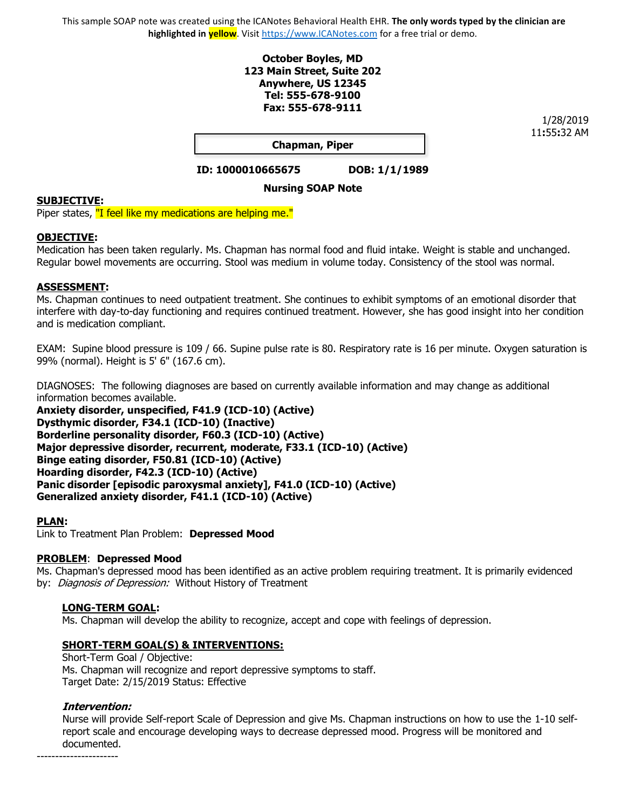This sample SOAP note was created using the ICANotes Behavioral Health EHR. **The only words typed by the clinician are highlighted in yellow**. Visit [https://www.ICANotes.com](https://www.icanotes.com/) for a free trial or demo.

### **October Boyles, MD 123 Main Street, Suite 202 Anywhere, US 12345 Tel: 555-678-9100 Fax: 555-678-9111**

1/28/2019 11**:**55**:**32 AM

**Chapman, Piper**

**ID: 1000010665675 DOB: 1/1/1989**

# **Nursing SOAP Note**

#### **SUBJECTIVE:**

Piper states, "I feel like my medications are helping me."

#### **OBJECTIVE:**

Medication has been taken regularly. Ms. Chapman has normal food and fluid intake. Weight is stable and unchanged. Regular bowel movements are occurring. Stool was medium in volume today. Consistency of the stool was normal.

### **ASSESSMENT:**

Ms. Chapman continues to need outpatient treatment. She continues to exhibit symptoms of an emotional disorder that interfere with day-to-day functioning and requires continued treatment. However, she has good insight into her condition and is medication compliant.

EXAM: Supine blood pressure is 109 / 66. Supine pulse rate is 80. Respiratory rate is 16 per minute. Oxygen saturation is 99% (normal). Height is 5' 6" (167.6 cm).

DIAGNOSES: The following diagnoses are based on currently available information and may change as additional information becomes available.

**Anxiety disorder, unspecified, F41.9 (ICD-10) (Active) Dysthymic disorder, F34.1 (ICD-10) (Inactive) Borderline personality disorder, F60.3 (ICD-10) (Active) Major depressive disorder, recurrent, moderate, F33.1 (ICD-10) (Active) Binge eating disorder, F50.81 (ICD-10) (Active) Hoarding disorder, F42.3 (ICD-10) (Active) Panic disorder [episodic paroxysmal anxiety], F41.0 (ICD-10) (Active) Generalized anxiety disorder, F41.1 (ICD-10) (Active)**

#### **PLAN:**

Link to Treatment Plan Problem: **Depressed Mood**

#### **PROBLEM**: **Depressed Mood**

Ms. Chapman's depressed mood has been identified as an active problem requiring treatment. It is primarily evidenced by: *Diagnosis of Depression:* Without History of Treatment

## **LONG-TERM GOAL:**

Ms. Chapman will develop the ability to recognize, accept and cope with feelings of depression.

## **SHORT-TERM GOAL(S) & INTERVENTIONS:**

 Short-Term Goal / Objective: Ms. Chapman will recognize and report depressive symptoms to staff. Target Date: 2/15/2019 Status: Effective

#### **Intervention:**

Nurse will provide Self-report Scale of Depression and give Ms. Chapman instructions on how to use the 1-10 selfreport scale and encourage developing ways to decrease depressed mood. Progress will be monitored and documented.

----------------------